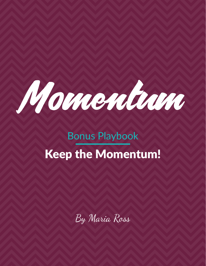

# Bonus Playbook Keep the Momentum!

By Maria Ross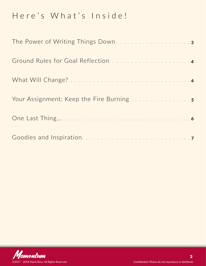### Here's What's Inside!

| The Power of Writing Things Down3 |
|-----------------------------------|
|                                   |
|                                   |
|                                   |
|                                   |
|                                   |

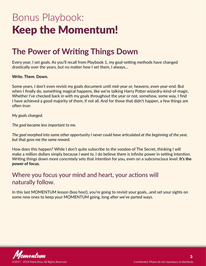## <span id="page-2-0"></span>Bonus Playbook: Keep the Momentum!

#### **The Power of Writing Things Down**

Every year, I set goals. As you'll recall from Playbook 1, my goal-setting methods have changed drastically over the years, but no matter how I set them, I always…

**Write. Them. Down.**

Some years, I don't even revisit my goals document until mid-year or, heavens, even year-end. But when I finally do, something magical happens, like we're talking Harry Potter wizardry-kind-of-magic. Whether I've checked back in with my goals throughout the year or not, somehow, some way, I find I have achieved a good majority of them, if not all. And for those that didn't happen, a few things are often true:

*My goals changed.*

*The goal became less important to me.*

*The goal morphed into some other opportunity I never could have articulated at the beginning of the year, but that gave me the same reward.*

How does this happen? While I don't quite subscribe to the voodoo of The Secret, thinking I will make a million dollars simply because *I want to*, I do believe there is infinite power in setting intention. Writing things down more concretely sets that intention for you, even on a subconscious level. **It's the power of focus.** 

#### Where you focus your mind and heart, your actions will naturally follow.

In this last MOMENTUM lesson (boo hoo!), you're going to revisit your goals…and set your sights on some new ones to keep your MOMENTUM going, long after we've parted ways.

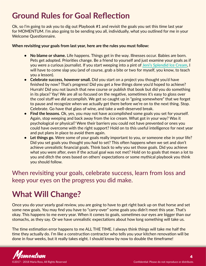### <span id="page-3-0"></span>**Ground Rules for Goal Reflection**

Ok, so I'm going to ask you to dig out Playbook #1 and revisit the goals you set this time last year for MOMENTUM. I'm also going to be sending you all, individually, what you outlined for me in your Welcome Questionnaire.

#### **When revisiting your goals from last year, here are the rules you must follow:**

- **• No blame or shame.** Life happens. Things get in the way. Illnesses occur. Babies are born. Pets get adopted. Priorities change. Be a friend to yourself and just examine your goals as if you were a curious journalist. If you start weeping into a pint of **[Jeni's Splendid Ice Cream](https://jenis.com/)**, I will have to come slap you (and of course, grab a bite or two for myself, you know, to teach you a lesson).
- **• Celebrate success, however small.** Did you start on a project you thought you'd have finished by now? That's progress! Did you get a few things done you'd hoped to achieve? Hurrah! Did you not launch that new course or publish that book but did you do something in its place? Yay! We are all so focused on the negative, sometimes it's easy to gloss over the cool stuff we *did* accomplish. We get so caught up in "going somewhere" that we forget to pause and recognize when we actually get there before we're on to the next thing. Stop. Celebrate. Go have that glass of wine, and take a well-deserved break.
- **• Find the lessons.** Ok, yes, you may not have accomplished some goals you set for yourself. Again, stop weeping and back away from the ice cream. What got in your way? Was it psychological or physical? Were their barriers you could not have prevented or ones you could have overcome with the right support? Hold on to this useful intelligence for next year and put plans in place to avoid them again.
- **• Let things go.** Were some of your goals really important to you, or someone else in your life? Did you set goals you thought you *had* to set? This often happens when we set and don't achieve unrealistic financial goals. Think back to *why* you set those goals. Did you achieve what you were after, even if the actual goal was not met? Hold on to goals that mean a lot to you and ditch the ones based on others' expectations or some mythical playbook you think you should follow.

When revisiting your goals, celebrate success, learn from loss and keep your eyes on the progress you did make.

### **What Will Change?**

Once you do your yearly goal review, you are going to have to get right back up on that horse and set some new goals. You may find you have to "carry-over" some goals you didn't meet this year. That's okay. This happens to me every year. When it comes to goals, sometimes our eyes are bigger than our stomachs, as they say. Or we have unrealistic expectations about how long something will take us.

The time estimation error happens to me ALL THE TIME. I always think things will take me half the time they actually do. I'm like a construction contractor who tells you your kitchen renovation will be done in four weeks, but it really takes eight. I should know by now to double the timeframe!

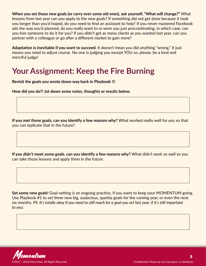<span id="page-4-0"></span>**When you set those new goals (or carry over some old ones), ask yourself, "What will change?"** What lessons from last year can you apply to the new goals? If something did not get done because it took you longer than you'd hoped, do you need to find an assistant to help? If you never mastered Facebook ads the way you'd planned, do you really want to or were you just procrastinating, in which case, can you hire someone to do it for you? If you didn't get as many clients as you wanted last year, can you partner with a colleague or go after a different market to gain more?

**Adaptation is inevitable if you want to succeed.** It doesn't mean you did anything "wrong." It just means you need to adjust course. No one is judging you except YOU so, please, be a kind and merciful judge!

#### **Your Assignment: Keep the Fire Burning**

**Revisit the goals you wrote down way back in Playbook 1!**

**How did you do?! Jot down some notes, thoughts or results below.** 

**If you met those goals, can you identify a few reasons why?** What worked really well for you so that you can replicate that in the future?

**If you didn't meet some goals, can you identify a few reasons why?** What didn't work so well so you can take those lessons and apply them in the future.

**Set some new goals!** Goal-setting is an ongoing practice, if you want to keep your MOMENTUM going. Use Playbook #1 to set three new big, audacious, sparkly goals for the coming year, or even the next six months. *PS: It's totally okay if you need to still reach for a goal you set last year, if it's still important to you:*

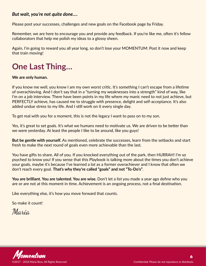#### <span id="page-5-0"></span>*But wait, you're not quite done….*

Please post your successes, challenges and new goals on the Facebook page by Friday.

Remember, we are here to encourage you and provide any feedback. If you're like me, often it's fellow collaborators that help me polish my ideas to a glossy sheen.

Again, I'm going to reward you all year long, so don't lose your MOMENTUM: Post it now and keep that train moving!

### **One Last Thing…**

#### **We are only human.**

If you know me well, you know I am my own worst critic. It's something I can't escape from a lifetime of overachieving. And I don't say that in a "turning my weaknesses into a strength" kind of way, like I'm on a job interview. There have been points in my life where my manic need to not just achieve, but PERFECTLY achieve, has caused me to struggle with presence, delight and self-acceptance. It's also added undue stress to my life. And I still work on it every single day.

To get real with you for a moment, this is not the legacy I want to pass on to my son.

Yes, it's great to set goals. It's what we humans need to motivate us. We are driven to be better than we were yesterday. At least the people I like to be around, like you guys!

**But be gentle with yourself.** As mentioned, celebrate the successes, learn from the setbacks and start fresh to make the next round of goals even more achievable than the last.

You have gifts to share. All of you. If you knocked everything out of the park, then HURRAH! I'm so psyched to know you! If you sense that this Playbook is talking more about the times you don't achieve your goals, maybe it's because I've learned a lot as a former overachiever and I know that often we don't reach every goal. **That's why they're called "goals" and not "To-Do's"**.

**You are brilliant. You are talented. You are wise.** Don't let a list you made a year ago define who you are or are not at this moment in time. Achievement is an ongoing process, not a final destination.

Like everything else, it's how you move forward that counts.

So make it count!

Maria